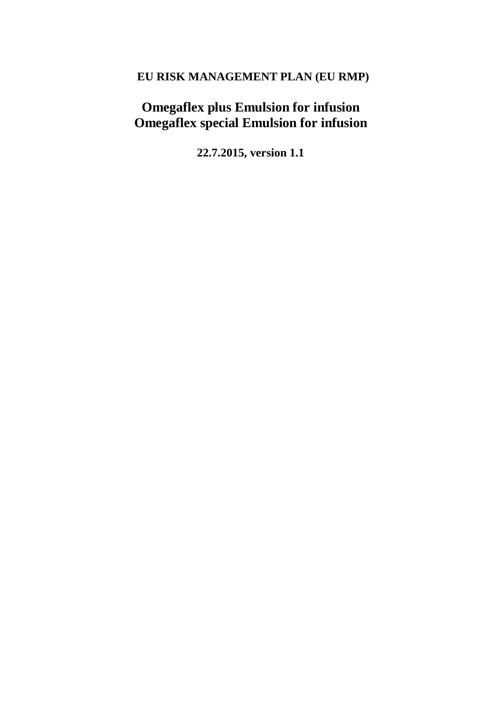# **EU RISK MANAGEMENT PLAN (EU RMP)**

# **Omegaflex plus Emulsion for infusion Omegaflex special Emulsion for infusion**

**22.7.2015, version 1.1**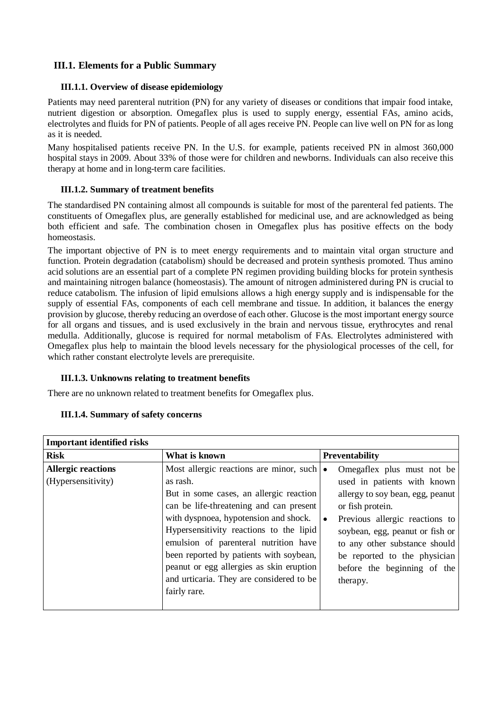## **III.1. Elements for a Public Summary**

### **III.1.1. Overview of disease epidemiology**

Patients may need parenteral nutrition (PN) for any variety of diseases or conditions that impair food intake, nutrient digestion or absorption. Omegaflex plus is used to supply energy, essential FAs, amino acids, electrolytes and fluids for PN of patients. People of all ages receive PN. People can live well on PN for as long as it is needed.

Many hospitalised patients receive PN. In the U.S. for example, patients received PN in almost 360,000 hospital stays in 2009. About 33% of those were for children and newborns. Individuals can also receive this therapy at home and in long-term care facilities.

### **III.1.2. Summary of treatment benefits**

The standardised PN containing almost all compounds is suitable for most of the parenteral fed patients. The constituents of Omegaflex plus, are generally established for medicinal use, and are acknowledged as being both efficient and safe. The combination chosen in Omegaflex plus has positive effects on the body homeostasis.

The important objective of PN is to meet energy requirements and to maintain vital organ structure and function. Protein degradation (catabolism) should be decreased and protein synthesis promoted. Thus amino acid solutions are an essential part of a complete PN regimen providing building blocks for protein synthesis and maintaining nitrogen balance (homeostasis). The amount of nitrogen administered during PN is crucial to reduce catabolism. The infusion of lipid emulsions allows a high energy supply and is indispensable for the supply of essential FAs, components of each cell membrane and tissue. In addition, it balances the energy provision by glucose, thereby reducing an overdose of each other. Glucose is the most important energy source for all organs and tissues, and is used exclusively in the brain and nervous tissue, erythrocytes and renal medulla. Additionally, glucose is required for normal metabolism of FAs. Electrolytes administered with Omegaflex plus help to maintain the blood levels necessary for the physiological processes of the cell, for which rather constant electrolyte levels are prerequisite.

## **III.1.3. Unknowns relating to treatment benefits**

There are no unknown related to treatment benefits for Omegaflex plus.

#### **III.1.4. Summary of safety concerns**

| <b>Important identified risks</b>               |                                                                                                                                                                                                                                                                                                                                                                                                                                   |           |                                                                                                                                                                                                                                                                                                    |  |
|-------------------------------------------------|-----------------------------------------------------------------------------------------------------------------------------------------------------------------------------------------------------------------------------------------------------------------------------------------------------------------------------------------------------------------------------------------------------------------------------------|-----------|----------------------------------------------------------------------------------------------------------------------------------------------------------------------------------------------------------------------------------------------------------------------------------------------------|--|
| <b>Risk</b>                                     | What is known                                                                                                                                                                                                                                                                                                                                                                                                                     |           | Preventability                                                                                                                                                                                                                                                                                     |  |
| <b>Allergic reactions</b><br>(Hypersensitivity) | Most allergic reactions are minor, such $\cdot$<br>as rash.<br>But in some cases, an allergic reaction<br>can be life-threatening and can present<br>with dyspnoea, hypotension and shock.<br>Hypersensitivity reactions to the lipid<br>emulsion of parenteral nutrition have<br>been reported by patients with soybean,<br>peanut or egg allergies as skin eruption<br>and urticaria. They are considered to be<br>fairly rare. | $\bullet$ | Omegaflex plus must not be<br>used in patients with known<br>allergy to soy bean, egg, peanut<br>or fish protein.<br>Previous allergic reactions to<br>soybean, egg, peanut or fish or<br>to any other substance should<br>be reported to the physician<br>before the beginning of the<br>therapy. |  |
|                                                 |                                                                                                                                                                                                                                                                                                                                                                                                                                   |           |                                                                                                                                                                                                                                                                                                    |  |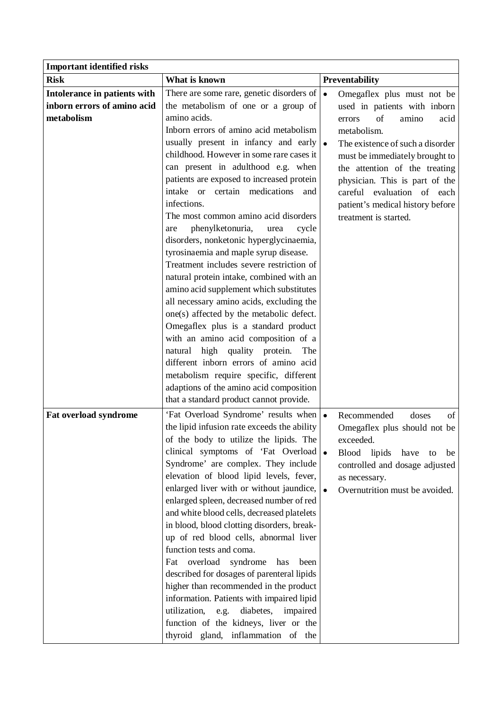| <b>Important identified risks</b> |                                                |           |                                  |
|-----------------------------------|------------------------------------------------|-----------|----------------------------------|
| <b>Risk</b>                       | What is known                                  |           | <b>Preventability</b>            |
| Intolerance in patients with      | There are some rare, genetic disorders of      | $\bullet$ | Omegaflex plus must not be       |
| inborn errors of amino acid       | the metabolism of one or a group of            |           | used in patients with inborn     |
| metabolism                        | amino acids.                                   |           | of<br>amino<br>acid<br>errors    |
|                                   | Inborn errors of amino acid metabolism         |           | metabolism.                      |
|                                   | usually present in infancy and early           | $\bullet$ | The existence of such a disorder |
|                                   | childhood. However in some rare cases it       |           | must be immediately brought to   |
|                                   | can present in adulthood e.g. when             |           | the attention of the treating    |
|                                   | patients are exposed to increased protein      |           | physician. This is part of the   |
|                                   | intake or certain medications<br>and           |           | careful evaluation of each       |
|                                   | infections.                                    |           | patient's medical history before |
|                                   | The most common amino acid disorders           |           | treatment is started.            |
|                                   | phenylketonuria,<br>cycle<br>urea<br>are       |           |                                  |
|                                   | disorders, nonketonic hyperglycinaemia,        |           |                                  |
|                                   | tyrosinaemia and maple syrup disease.          |           |                                  |
|                                   | Treatment includes severe restriction of       |           |                                  |
|                                   | natural protein intake, combined with an       |           |                                  |
|                                   | amino acid supplement which substitutes        |           |                                  |
|                                   | all necessary amino acids, excluding the       |           |                                  |
|                                   | one(s) affected by the metabolic defect.       |           |                                  |
|                                   | Omegaflex plus is a standard product           |           |                                  |
|                                   | with an amino acid composition of a            |           |                                  |
|                                   | natural high quality protein.<br>The           |           |                                  |
|                                   | different inborn errors of amino acid          |           |                                  |
|                                   | metabolism require specific, different         |           |                                  |
|                                   | adaptions of the amino acid composition        |           |                                  |
|                                   | that a standard product cannot provide.        |           |                                  |
| Fat overload syndrome             | 'Fat Overload Syndrome' results when $\bullet$ |           | doses<br>Recommended<br>of       |
|                                   | the lipid infusion rate exceeds the ability    |           | Omegaflex plus should not be     |
|                                   | of the body to utilize the lipids. The         |           | exceeded.                        |
|                                   | clinical symptoms of 'Fat Overload $\bullet$   |           | Blood lipids<br>have<br>be<br>to |
|                                   | Syndrome' are complex. They include            |           | controlled and dosage adjusted   |
|                                   | elevation of blood lipid levels, fever,        |           | as necessary.                    |
|                                   | enlarged liver with or without jaundice,       |           | Overnutrition must be avoided.   |
|                                   | enlarged spleen, decreased number of red       |           |                                  |
|                                   | and white blood cells, decreased platelets     |           |                                  |
|                                   | in blood, blood clotting disorders, break-     |           |                                  |
|                                   | up of red blood cells, abnormal liver          |           |                                  |
|                                   | function tests and coma.                       |           |                                  |
|                                   | overload<br>syndrome<br>Fat<br>has<br>been     |           |                                  |
|                                   | described for dosages of parenteral lipids     |           |                                  |
|                                   | higher than recommended in the product         |           |                                  |
|                                   | information. Patients with impaired lipid      |           |                                  |
|                                   | diabetes,<br>utilization, e.g.<br>impaired     |           |                                  |
|                                   | function of the kidneys, liver or the          |           |                                  |
|                                   | thyroid gland, inflammation of the             |           |                                  |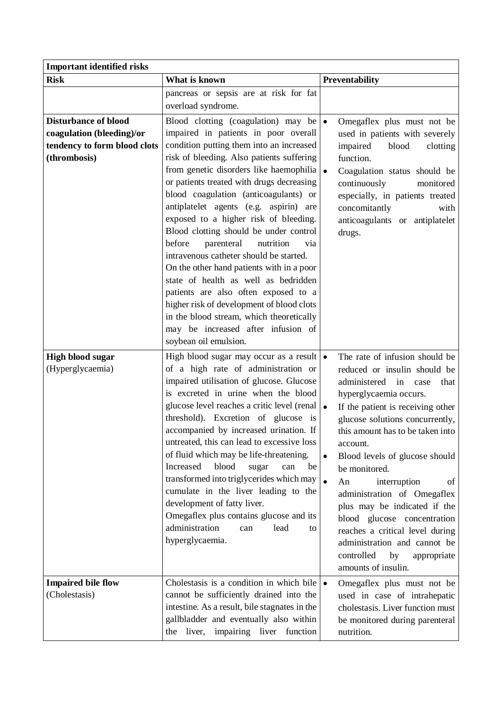| <b>Important identified risks</b>                                                                        |                                                                                                                                                                                                                                                                                                                                                                                                                                                                                                                                                                                                                                                                                                                                                                                                                          |                                                                                                                                                                                                                                                                                                                                                                                                                                                                                                                                                                                            |
|----------------------------------------------------------------------------------------------------------|--------------------------------------------------------------------------------------------------------------------------------------------------------------------------------------------------------------------------------------------------------------------------------------------------------------------------------------------------------------------------------------------------------------------------------------------------------------------------------------------------------------------------------------------------------------------------------------------------------------------------------------------------------------------------------------------------------------------------------------------------------------------------------------------------------------------------|--------------------------------------------------------------------------------------------------------------------------------------------------------------------------------------------------------------------------------------------------------------------------------------------------------------------------------------------------------------------------------------------------------------------------------------------------------------------------------------------------------------------------------------------------------------------------------------------|
| <b>Risk</b>                                                                                              | What is known                                                                                                                                                                                                                                                                                                                                                                                                                                                                                                                                                                                                                                                                                                                                                                                                            | Preventability                                                                                                                                                                                                                                                                                                                                                                                                                                                                                                                                                                             |
|                                                                                                          | pancreas or sepsis are at risk for fat<br>overload syndrome.                                                                                                                                                                                                                                                                                                                                                                                                                                                                                                                                                                                                                                                                                                                                                             |                                                                                                                                                                                                                                                                                                                                                                                                                                                                                                                                                                                            |
| <b>Disturbance of blood</b><br>coagulation (bleeding)/or<br>tendency to form blood clots<br>(thrombosis) | Blood clotting (coagulation) may be<br>impaired in patients in poor overall<br>condition putting them into an increased<br>risk of bleeding. Also patients suffering<br>from genetic disorders like haemophilia $\bullet$<br>or patients treated with drugs decreasing<br>blood coagulation (anticoagulants) or<br>antiplatelet agents (e.g. aspirin) are<br>exposed to a higher risk of bleeding.<br>Blood clotting should be under control<br>before<br>parenteral<br>nutrition<br>via<br>intravenous catheter should be started.<br>On the other hand patients with in a poor<br>state of health as well as bedridden<br>patients are also often exposed to a<br>higher risk of development of blood clots<br>in the blood stream, which theoretically<br>may be increased after infusion of<br>soybean oil emulsion. | Omegaflex plus must not be<br>$\bullet$<br>used in patients with severely<br>impaired<br>blood<br>clotting<br>function.<br>Coagulation status should be<br>continuously<br>monitored<br>especially, in patients treated<br>concomitantly<br>with<br>anticoagulants or antiplatelet<br>drugs.                                                                                                                                                                                                                                                                                               |
| <b>High blood sugar</b><br>(Hyperglycaemia)                                                              | High blood sugar may occur as a result $\bullet$<br>of a high rate of administration or<br>impaired utilisation of glucose. Glucose<br>is excreted in urine when the blood<br>glucose level reaches a critic level (renal $\bullet$<br>threshold). Excretion of glucose is<br>accompanied by increased urination. If<br>untreated, this can lead to excessive loss<br>of fluid which may be life-threatening.<br>Increased<br>blood<br>sugar<br>can<br>be  <br>transformed into triglycerides which may<br>cumulate in the liver leading to the<br>development of fatty liver.<br>Omegaflex plus contains glucose and its<br>administration<br>lead<br>can<br>to<br>hyperglycaemia.                                                                                                                                      | The rate of infusion should be<br>reduced or insulin should be<br>administered<br>in<br>case<br>that<br>hyperglycaemia occurs.<br>If the patient is receiving other<br>glucose solutions concurrently,<br>this amount has to be taken into<br>account.<br>Blood levels of glucose should<br>$\bullet$<br>be monitored.<br>$\bullet$<br>interruption<br>An<br>of<br>administration of Omegaflex<br>plus may be indicated if the<br>blood glucose concentration<br>reaches a critical level during<br>administration and cannot be<br>controlled<br>by<br>appropriate<br>amounts of insulin. |
| <b>Impaired bile flow</b><br>(Cholestasis)                                                               | Cholestasis is a condition in which bile $\bullet$<br>cannot be sufficiently drained into the<br>intestine. As a result, bile stagnates in the<br>gallbladder and eventually also within<br>liver,<br>impairing liver function<br>the                                                                                                                                                                                                                                                                                                                                                                                                                                                                                                                                                                                    | Omegaflex plus must not be<br>used in case of intrahepatic<br>cholestasis. Liver function must<br>be monitored during parenteral<br>nutrition.                                                                                                                                                                                                                                                                                                                                                                                                                                             |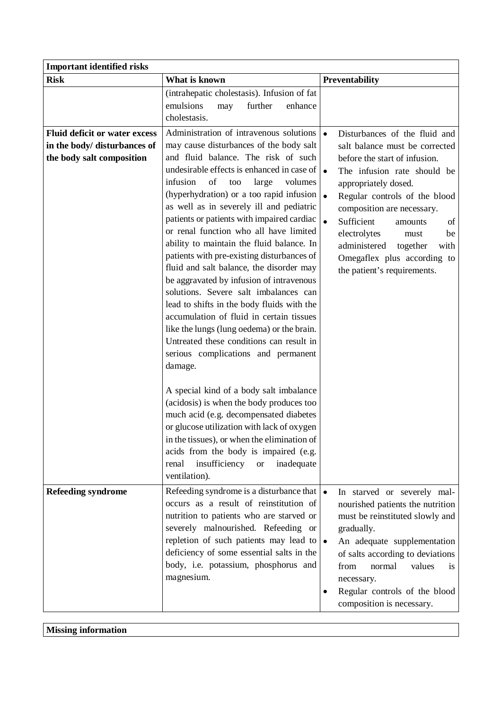| <b>Important identified risks</b>                                                                 |                                                                                                                                                                                                                                                                                                                                                                                                                                                                                                                                                                                                                                                                                                                                                                                                                                                                                                                   |                                                                                                                                                                                                                                                                                                                                                                                       |
|---------------------------------------------------------------------------------------------------|-------------------------------------------------------------------------------------------------------------------------------------------------------------------------------------------------------------------------------------------------------------------------------------------------------------------------------------------------------------------------------------------------------------------------------------------------------------------------------------------------------------------------------------------------------------------------------------------------------------------------------------------------------------------------------------------------------------------------------------------------------------------------------------------------------------------------------------------------------------------------------------------------------------------|---------------------------------------------------------------------------------------------------------------------------------------------------------------------------------------------------------------------------------------------------------------------------------------------------------------------------------------------------------------------------------------|
| <b>Risk</b>                                                                                       | What is known                                                                                                                                                                                                                                                                                                                                                                                                                                                                                                                                                                                                                                                                                                                                                                                                                                                                                                     | Preventability                                                                                                                                                                                                                                                                                                                                                                        |
|                                                                                                   | (intrahepatic cholestasis). Infusion of fat<br>emulsions<br>enhance<br>further<br>may<br>cholestasis.                                                                                                                                                                                                                                                                                                                                                                                                                                                                                                                                                                                                                                                                                                                                                                                                             |                                                                                                                                                                                                                                                                                                                                                                                       |
| <b>Fluid deficit or water excess</b><br>in the body/ disturbances of<br>the body salt composition | Administration of intravenous solutions<br>may cause disturbances of the body salt<br>and fluid balance. The risk of such<br>undesirable effects is enhanced in case of<br>infusion<br>of<br>too<br>large<br>volumes<br>(hyperhydration) or a too rapid infusion<br>as well as in severely ill and pediatric<br>patients or patients with impaired cardiac<br>or renal function who all have limited<br>ability to maintain the fluid balance. In<br>patients with pre-existing disturbances of<br>fluid and salt balance, the disorder may<br>be aggravated by infusion of intravenous<br>solutions. Severe salt imbalances can<br>lead to shifts in the body fluids with the<br>accumulation of fluid in certain tissues<br>like the lungs (lung oedema) or the brain.<br>Untreated these conditions can result in<br>serious complications and permanent<br>damage.<br>A special kind of a body salt imbalance | Disturbances of the fluid and<br>salt balance must be corrected<br>before the start of infusion.<br>The infusion rate should be<br>appropriately dosed.<br>Regular controls of the blood<br>composition are necessary.<br>Sufficient<br>of<br>amounts<br>electrolytes<br>be<br>must<br>administered<br>together<br>with<br>Omegaflex plus according to<br>the patient's requirements. |
|                                                                                                   | (acidosis) is when the body produces too<br>much acid (e.g. decompensated diabetes<br>or glucose utilization with lack of oxygen<br>in the tissues), or when the elimination of<br>acids from the body is impaired (e.g.<br>insufficiency<br>renal<br>inadequate<br><b>or</b><br>ventilation).                                                                                                                                                                                                                                                                                                                                                                                                                                                                                                                                                                                                                    |                                                                                                                                                                                                                                                                                                                                                                                       |
| <b>Refeeding syndrome</b>                                                                         | Refeeding syndrome is a disturbance that $\bullet$<br>occurs as a result of reinstitution of<br>nutrition to patients who are starved or<br>severely malnourished. Refeeding or<br>repletion of such patients may lead to $\bullet$<br>deficiency of some essential salts in the<br>body, i.e. potassium, phosphorus and<br>magnesium.                                                                                                                                                                                                                                                                                                                                                                                                                                                                                                                                                                            | In starved or severely mal-<br>nourished patients the nutrition<br>must be reinstituted slowly and<br>gradually.<br>An adequate supplementation<br>of salts according to deviations<br>normal<br>values<br>from<br>1S<br>necessary.<br>Regular controls of the blood<br>composition is necessary.                                                                                     |

**Missing information**